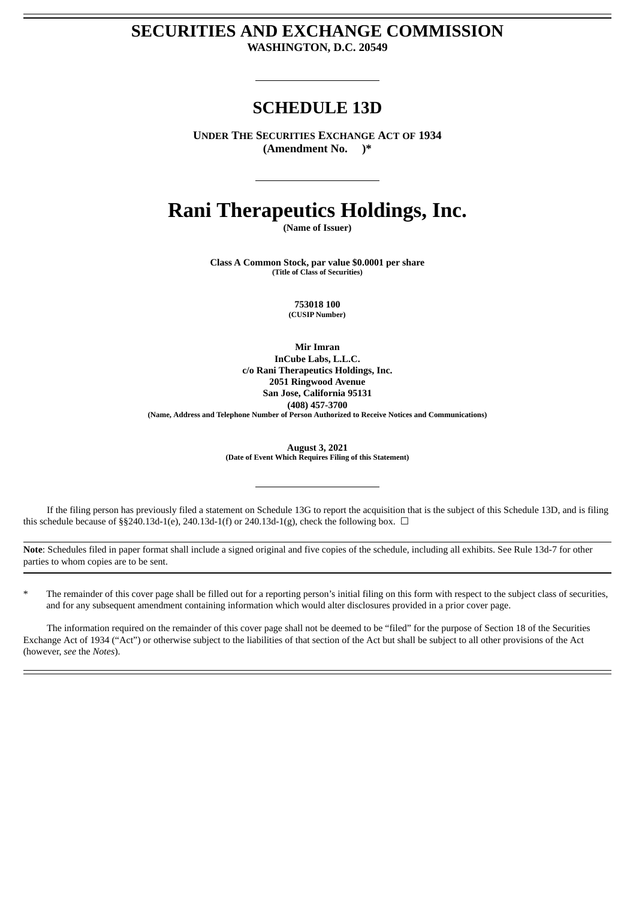# **SECURITIES AND EXCHANGE COMMISSION WASHINGTON, D.C. 20549**

# **SCHEDULE 13D**

**UNDER THE SECURITIES EXCHANGE ACT OF 1934 (Amendment No. )\***

# **Rani Therapeutics Holdings, Inc.**

**(Name of Issuer)**

**Class A Common Stock, par value \$0.0001 per share (Title of Class of Securities)**

> **753018 100 (CUSIP Number)**

**Mir Imran InCube Labs, L.L.C. c/o Rani Therapeutics Holdings, Inc. 2051 Ringwood Avenue San Jose, California 95131 (408) 457-3700 (Name, Address and Telephone Number of Person Authorized to Receive Notices and Communications)**

> **August 3, 2021 (Date of Event Which Requires Filing of this Statement)**

If the filing person has previously filed a statement on Schedule 13G to report the acquisition that is the subject of this Schedule 13D, and is filing this schedule because of §§240.13d-1(e), 240.13d-1(f) or 240.13d-1(g), check the following box.  $\Box$ 

**Note**: Schedules filed in paper format shall include a signed original and five copies of the schedule, including all exhibits. See Rule 13d-7 for other parties to whom copies are to be sent.

The remainder of this cover page shall be filled out for a reporting person's initial filing on this form with respect to the subject class of securities, and for any subsequent amendment containing information which would alter disclosures provided in a prior cover page.

The information required on the remainder of this cover page shall not be deemed to be "filed" for the purpose of Section 18 of the Securities Exchange Act of 1934 ("Act") or otherwise subject to the liabilities of that section of the Act but shall be subject to all other provisions of the Act (however, *see* the *Notes*).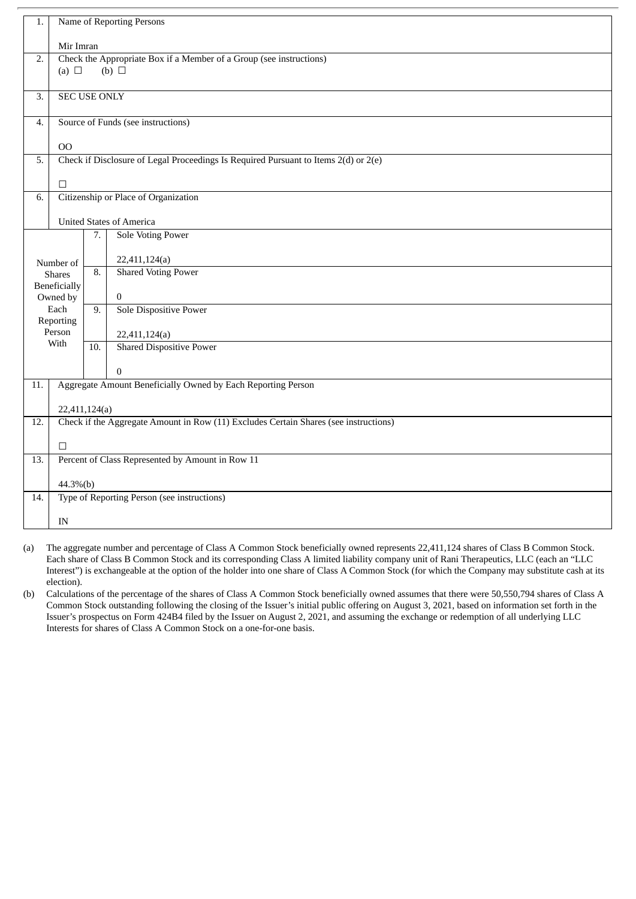| 1.               | Name of Reporting Persons                                                                             |                                                         |                                 |  |  |  |
|------------------|-------------------------------------------------------------------------------------------------------|---------------------------------------------------------|---------------------------------|--|--|--|
|                  | Mir Imran                                                                                             |                                                         |                                 |  |  |  |
| 2.               | Check the Appropriate Box if a Member of a Group (see instructions)<br>(a) $\Box$<br>(b) $\Box$       |                                                         |                                 |  |  |  |
| $\overline{3}$ . | <b>SEC USE ONLY</b>                                                                                   |                                                         |                                 |  |  |  |
| 4.               | Source of Funds (see instructions)                                                                    |                                                         |                                 |  |  |  |
|                  | 00                                                                                                    |                                                         |                                 |  |  |  |
| 5.               | Check if Disclosure of Legal Proceedings Is Required Pursuant to Items 2(d) or 2(e)                   |                                                         |                                 |  |  |  |
|                  | П                                                                                                     |                                                         |                                 |  |  |  |
| 6.               | Citizenship or Place of Organization                                                                  |                                                         |                                 |  |  |  |
|                  |                                                                                                       |                                                         | <b>United States of America</b> |  |  |  |
|                  |                                                                                                       | 7.                                                      | <b>Sole Voting Power</b>        |  |  |  |
|                  | Number of                                                                                             |                                                         | 22,411,124(a)                   |  |  |  |
|                  | <b>Shares</b>                                                                                         | 8.                                                      | <b>Shared Voting Power</b>      |  |  |  |
|                  | Beneficially                                                                                          |                                                         | $\mathbf{0}$                    |  |  |  |
| Owned by<br>Each |                                                                                                       | 9.                                                      | <b>Sole Dispositive Power</b>   |  |  |  |
|                  | Reporting<br>Person                                                                                   |                                                         | 22,411,124(a)                   |  |  |  |
|                  | With                                                                                                  | 10.                                                     | <b>Shared Dispositive Power</b> |  |  |  |
|                  |                                                                                                       |                                                         |                                 |  |  |  |
| 11.              | $\Omega$<br>Aggregate Amount Beneficially Owned by Each Reporting Person                              |                                                         |                                 |  |  |  |
|                  |                                                                                                       |                                                         |                                 |  |  |  |
| 12.              | 22,411,124(a)<br>Check if the Aggregate Amount in Row (11) Excludes Certain Shares (see instructions) |                                                         |                                 |  |  |  |
|                  |                                                                                                       |                                                         |                                 |  |  |  |
| 13.              | П<br>Percent of Class Represented by Amount in Row 11                                                 |                                                         |                                 |  |  |  |
|                  |                                                                                                       |                                                         |                                 |  |  |  |
| 14.              |                                                                                                       | 44.3%(b)<br>Type of Reporting Person (see instructions) |                                 |  |  |  |
|                  |                                                                                                       |                                                         |                                 |  |  |  |
|                  | IN                                                                                                    |                                                         |                                 |  |  |  |

- (a) The aggregate number and percentage of Class A Common Stock beneficially owned represents 22,411,124 shares of Class B Common Stock. Each share of Class B Common Stock and its corresponding Class A limited liability company unit of Rani Therapeutics, LLC (each an "LLC Interest") is exchangeable at the option of the holder into one share of Class A Common Stock (for which the Company may substitute cash at its election).
- (b) Calculations of the percentage of the shares of Class A Common Stock beneficially owned assumes that there were 50,550,794 shares of Class A Common Stock outstanding following the closing of the Issuer's initial public offering on August 3, 2021, based on information set forth in the Issuer's prospectus on Form 424B4 filed by the Issuer on August 2, 2021, and assuming the exchange or redemption of all underlying LLC Interests for shares of Class A Common Stock on a one-for-one basis.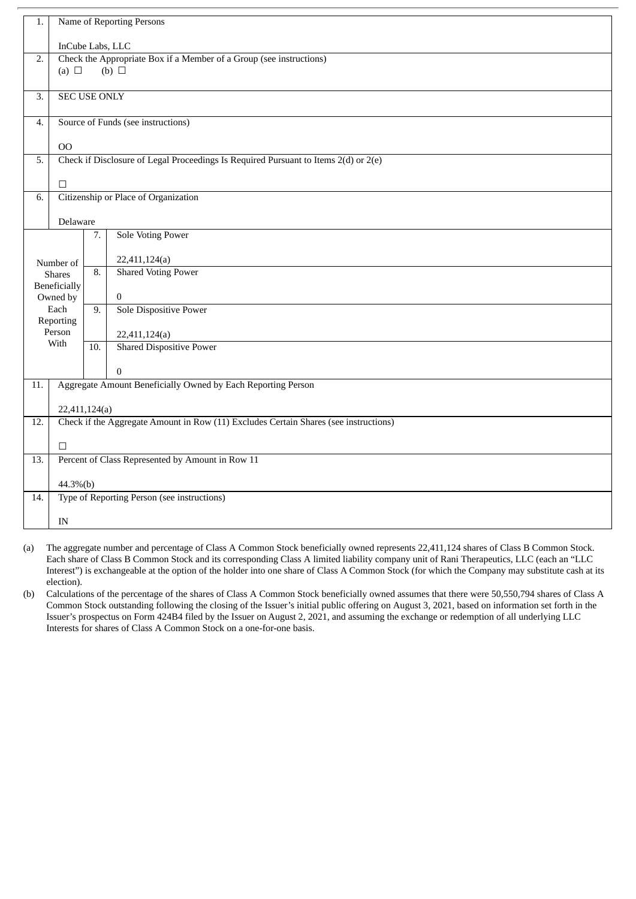| 1.               | Name of Reporting Persons                                                                       |          |                                                                                      |  |  |  |
|------------------|-------------------------------------------------------------------------------------------------|----------|--------------------------------------------------------------------------------------|--|--|--|
|                  | InCube Labs, LLC                                                                                |          |                                                                                      |  |  |  |
| 2.               | Check the Appropriate Box if a Member of a Group (see instructions)<br>(a) $\Box$<br>(b) $\Box$ |          |                                                                                      |  |  |  |
| $\overline{3}$ . | <b>SEC USE ONLY</b>                                                                             |          |                                                                                      |  |  |  |
| 4.               | Source of Funds (see instructions)                                                              |          |                                                                                      |  |  |  |
|                  | O <sub>O</sub>                                                                                  |          |                                                                                      |  |  |  |
| 5.               | Check if Disclosure of Legal Proceedings Is Required Pursuant to Items 2(d) or 2(e)             |          |                                                                                      |  |  |  |
|                  | П                                                                                               |          |                                                                                      |  |  |  |
| 6.               | Citizenship or Place of Organization                                                            |          |                                                                                      |  |  |  |
|                  | Delaware                                                                                        |          |                                                                                      |  |  |  |
|                  |                                                                                                 | 7.       | <b>Sole Voting Power</b>                                                             |  |  |  |
|                  | Number of                                                                                       |          | 22,411,124(a)                                                                        |  |  |  |
|                  | <b>Shares</b>                                                                                   | 8.       | <b>Shared Voting Power</b>                                                           |  |  |  |
|                  | Beneficially<br>Owned by                                                                        |          | $\mathbf{0}$                                                                         |  |  |  |
|                  | Each<br>Reporting                                                                               | 9.       | <b>Sole Dispositive Power</b>                                                        |  |  |  |
|                  | Person                                                                                          |          | 22,411,124(a)                                                                        |  |  |  |
|                  | With                                                                                            | 10.      | <b>Shared Dispositive Power</b>                                                      |  |  |  |
|                  |                                                                                                 |          | $\Omega$                                                                             |  |  |  |
| 11.              | Aggregate Amount Beneficially Owned by Each Reporting Person                                    |          |                                                                                      |  |  |  |
|                  | 22,411,124(a)                                                                                   |          |                                                                                      |  |  |  |
| 12.              |                                                                                                 |          | Check if the Aggregate Amount in Row (11) Excludes Certain Shares (see instructions) |  |  |  |
|                  | П                                                                                               |          |                                                                                      |  |  |  |
| 13.              | Percent of Class Represented by Amount in Row 11                                                |          |                                                                                      |  |  |  |
|                  |                                                                                                 | 44.3%(b) |                                                                                      |  |  |  |
| 14.              | Type of Reporting Person (see instructions)                                                     |          |                                                                                      |  |  |  |
|                  | IN                                                                                              |          |                                                                                      |  |  |  |

- (a) The aggregate number and percentage of Class A Common Stock beneficially owned represents 22,411,124 shares of Class B Common Stock. Each share of Class B Common Stock and its corresponding Class A limited liability company unit of Rani Therapeutics, LLC (each an "LLC Interest") is exchangeable at the option of the holder into one share of Class A Common Stock (for which the Company may substitute cash at its election).
- (b) Calculations of the percentage of the shares of Class A Common Stock beneficially owned assumes that there were 50,550,794 shares of Class A Common Stock outstanding following the closing of the Issuer's initial public offering on August 3, 2021, based on information set forth in the Issuer's prospectus on Form 424B4 filed by the Issuer on August 2, 2021, and assuming the exchange or redemption of all underlying LLC Interests for shares of Class A Common Stock on a one-for-one basis.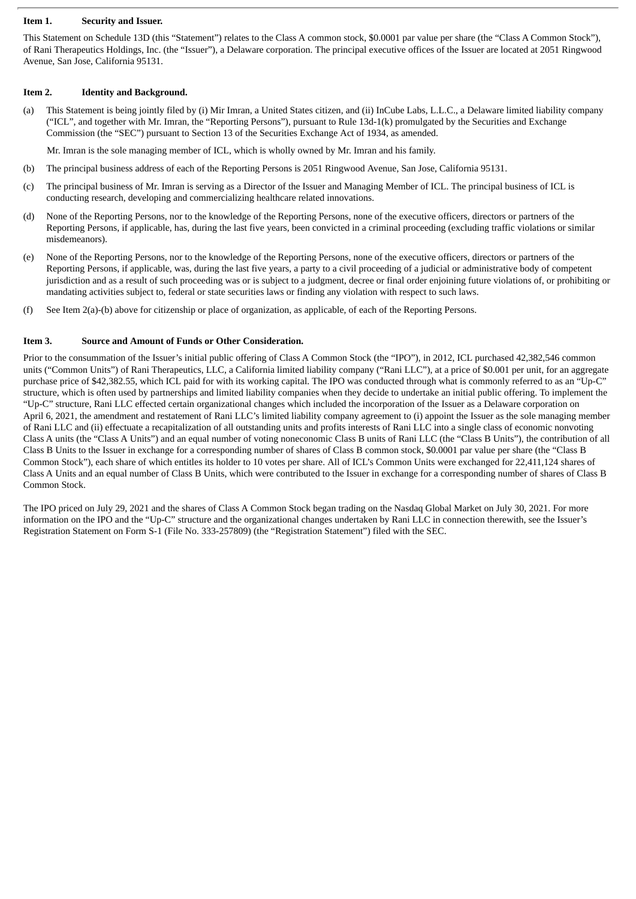#### **Item 1. Security and Issuer.**

This Statement on Schedule 13D (this "Statement") relates to the Class A common stock, \$0.0001 par value per share (the "Class A Common Stock"), of Rani Therapeutics Holdings, Inc. (the "Issuer"), a Delaware corporation. The principal executive offices of the Issuer are located at 2051 Ringwood Avenue, San Jose, California 95131.

#### **Item 2. Identity and Background.**

(a) This Statement is being jointly filed by (i) Mir Imran, a United States citizen, and (ii) InCube Labs, L.L.C., a Delaware limited liability company ("ICL", and together with Mr. Imran, the "Reporting Persons"), pursuant to Rule  $13d-1(k)$  promulgated by the Securities and Exchange Commission (the "SEC") pursuant to Section 13 of the Securities Exchange Act of 1934, as amended.

Mr. Imran is the sole managing member of ICL, which is wholly owned by Mr. Imran and his family.

- (b) The principal business address of each of the Reporting Persons is 2051 Ringwood Avenue, San Jose, California 95131.
- (c) The principal business of Mr. Imran is serving as a Director of the Issuer and Managing Member of ICL. The principal business of ICL is conducting research, developing and commercializing healthcare related innovations.
- (d) None of the Reporting Persons, nor to the knowledge of the Reporting Persons, none of the executive officers, directors or partners of the Reporting Persons, if applicable, has, during the last five years, been convicted in a criminal proceeding (excluding traffic violations or similar misdemeanors).
- (e) None of the Reporting Persons, nor to the knowledge of the Reporting Persons, none of the executive officers, directors or partners of the Reporting Persons, if applicable, was, during the last five years, a party to a civil proceeding of a judicial or administrative body of competent jurisdiction and as a result of such proceeding was or is subject to a judgment, decree or final order enjoining future violations of, or prohibiting or mandating activities subject to, federal or state securities laws or finding any violation with respect to such laws.
- (f) See Item 2(a)-(b) above for citizenship or place of organization, as applicable, of each of the Reporting Persons.

#### **Item 3. Source and Amount of Funds or Other Consideration.**

Prior to the consummation of the Issuer's initial public offering of Class A Common Stock (the "IPO"), in 2012, ICL purchased 42,382,546 common units ("Common Units") of Rani Therapeutics, LLC, a California limited liability company ("Rani LLC"), at a price of \$0.001 per unit, for an aggregate purchase price of \$42,382.55, which ICL paid for with its working capital. The IPO was conducted through what is commonly referred to as an "Up-C" structure, which is often used by partnerships and limited liability companies when they decide to undertake an initial public offering. To implement the "Up-C" structure, Rani LLC effected certain organizational changes which included the incorporation of the Issuer as a Delaware corporation on April 6, 2021, the amendment and restatement of Rani LLC's limited liability company agreement to (i) appoint the Issuer as the sole managing member of Rani LLC and (ii) effectuate a recapitalization of all outstanding units and profits interests of Rani LLC into a single class of economic nonvoting Class A units (the "Class A Units") and an equal number of voting noneconomic Class B units of Rani LLC (the "Class B Units"), the contribution of all Class B Units to the Issuer in exchange for a corresponding number of shares of Class B common stock, \$0.0001 par value per share (the "Class B Common Stock"), each share of which entitles its holder to 10 votes per share. All of ICL's Common Units were exchanged for 22,411,124 shares of Class A Units and an equal number of Class B Units, which were contributed to the Issuer in exchange for a corresponding number of shares of Class B Common Stock.

The IPO priced on July 29, 2021 and the shares of Class A Common Stock began trading on the Nasdaq Global Market on July 30, 2021. For more information on the IPO and the "Up-C" structure and the organizational changes undertaken by Rani LLC in connection therewith, see the Issuer's Registration Statement on Form S-1 (File No. 333-257809) (the "Registration Statement") filed with the SEC.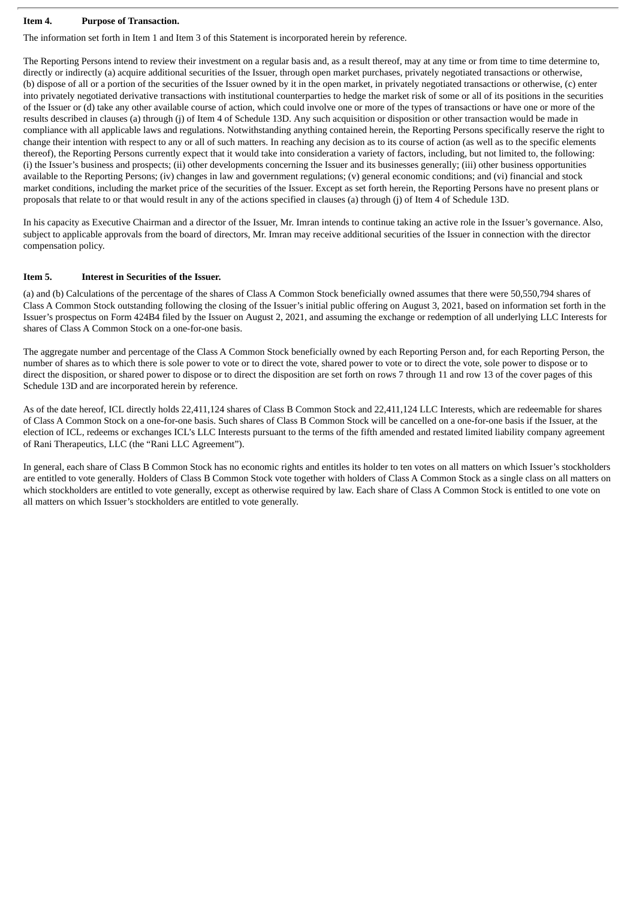#### **Item 4. Purpose of Transaction.**

The information set forth in Item 1 and Item 3 of this Statement is incorporated herein by reference.

The Reporting Persons intend to review their investment on a regular basis and, as a result thereof, may at any time or from time to time determine to, directly or indirectly (a) acquire additional securities of the Issuer, through open market purchases, privately negotiated transactions or otherwise, (b) dispose of all or a portion of the securities of the Issuer owned by it in the open market, in privately negotiated transactions or otherwise, (c) enter into privately negotiated derivative transactions with institutional counterparties to hedge the market risk of some or all of its positions in the securities of the Issuer or (d) take any other available course of action, which could involve one or more of the types of transactions or have one or more of the results described in clauses (a) through (j) of Item 4 of Schedule 13D. Any such acquisition or disposition or other transaction would be made in compliance with all applicable laws and regulations. Notwithstanding anything contained herein, the Reporting Persons specifically reserve the right to change their intention with respect to any or all of such matters. In reaching any decision as to its course of action (as well as to the specific elements thereof), the Reporting Persons currently expect that it would take into consideration a variety of factors, including, but not limited to, the following: (i) the Issuer's business and prospects; (ii) other developments concerning the Issuer and its businesses generally; (iii) other business opportunities available to the Reporting Persons; (iv) changes in law and government regulations; (v) general economic conditions; and (vi) financial and stock market conditions, including the market price of the securities of the Issuer. Except as set forth herein, the Reporting Persons have no present plans or proposals that relate to or that would result in any of the actions specified in clauses (a) through (j) of Item 4 of Schedule 13D.

In his capacity as Executive Chairman and a director of the Issuer, Mr. Imran intends to continue taking an active role in the Issuer's governance. Also, subject to applicable approvals from the board of directors, Mr. Imran may receive additional securities of the Issuer in connection with the director compensation policy.

#### **Item 5. Interest in Securities of the Issuer.**

(a) and (b) Calculations of the percentage of the shares of Class A Common Stock beneficially owned assumes that there were 50,550,794 shares of Class A Common Stock outstanding following the closing of the Issuer's initial public offering on August 3, 2021, based on information set forth in the Issuer's prospectus on Form 424B4 filed by the Issuer on August 2, 2021, and assuming the exchange or redemption of all underlying LLC Interests for shares of Class A Common Stock on a one-for-one basis.

The aggregate number and percentage of the Class A Common Stock beneficially owned by each Reporting Person and, for each Reporting Person, the number of shares as to which there is sole power to vote or to direct the vote, shared power to vote or to direct the vote, sole power to dispose or to direct the disposition, or shared power to dispose or to direct the disposition are set forth on rows 7 through 11 and row 13 of the cover pages of this Schedule 13D and are incorporated herein by reference.

As of the date hereof, ICL directly holds 22,411,124 shares of Class B Common Stock and 22,411,124 LLC Interests, which are redeemable for shares of Class A Common Stock on a one-for-one basis. Such shares of Class B Common Stock will be cancelled on a one-for-one basis if the Issuer, at the election of ICL, redeems or exchanges ICL's LLC Interests pursuant to the terms of the fifth amended and restated limited liability company agreement of Rani Therapeutics, LLC (the "Rani LLC Agreement").

In general, each share of Class B Common Stock has no economic rights and entitles its holder to ten votes on all matters on which Issuer's stockholders are entitled to vote generally. Holders of Class B Common Stock vote together with holders of Class A Common Stock as a single class on all matters on which stockholders are entitled to vote generally, except as otherwise required by law. Each share of Class A Common Stock is entitled to one vote on all matters on which Issuer's stockholders are entitled to vote generally.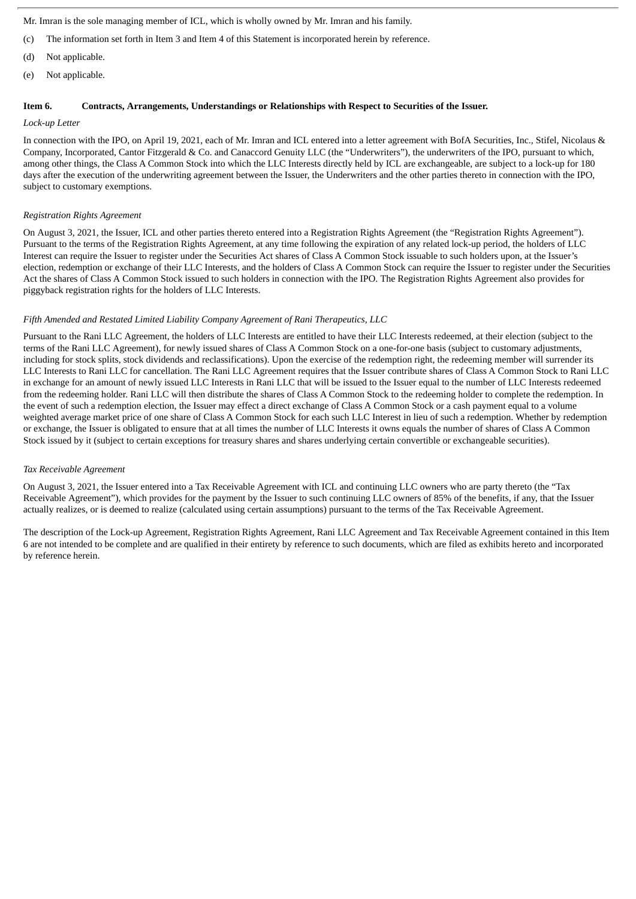Mr. Imran is the sole managing member of ICL, which is wholly owned by Mr. Imran and his family.

- (c) The information set forth in Item 3 and Item 4 of this Statement is incorporated herein by reference.
- (d) Not applicable.
- (e) Not applicable.

## **Item 6. Contracts, Arrangements, Understandings or Relationships with Respect to Securities of the Issuer.**

#### *Lock-up Letter*

In connection with the IPO, on April 19, 2021, each of Mr. Imran and ICL entered into a letter agreement with BofA Securities, Inc., Stifel, Nicolaus & Company, Incorporated, Cantor Fitzgerald & Co. and Canaccord Genuity LLC (the "Underwriters"), the underwriters of the IPO, pursuant to which, among other things, the Class A Common Stock into which the LLC Interests directly held by ICL are exchangeable, are subject to a lock-up for 180 days after the execution of the underwriting agreement between the Issuer, the Underwriters and the other parties thereto in connection with the IPO, subject to customary exemptions.

#### *Registration Rights Agreement*

On August 3, 2021, the Issuer, ICL and other parties thereto entered into a Registration Rights Agreement (the "Registration Rights Agreement"). Pursuant to the terms of the Registration Rights Agreement, at any time following the expiration of any related lock-up period, the holders of LLC Interest can require the Issuer to register under the Securities Act shares of Class A Common Stock issuable to such holders upon, at the Issuer's election, redemption or exchange of their LLC Interests, and the holders of Class A Common Stock can require the Issuer to register under the Securities Act the shares of Class A Common Stock issued to such holders in connection with the IPO. The Registration Rights Agreement also provides for piggyback registration rights for the holders of LLC Interests.

#### *Fifth Amended and Restated Limited Liability Company Agreement of Rani Therapeutics, LLC*

Pursuant to the Rani LLC Agreement, the holders of LLC Interests are entitled to have their LLC Interests redeemed, at their election (subject to the terms of the Rani LLC Agreement), for newly issued shares of Class A Common Stock on a one-for-one basis (subject to customary adjustments, including for stock splits, stock dividends and reclassifications). Upon the exercise of the redemption right, the redeeming member will surrender its LLC Interests to Rani LLC for cancellation. The Rani LLC Agreement requires that the Issuer contribute shares of Class A Common Stock to Rani LLC in exchange for an amount of newly issued LLC Interests in Rani LLC that will be issued to the Issuer equal to the number of LLC Interests redeemed from the redeeming holder. Rani LLC will then distribute the shares of Class A Common Stock to the redeeming holder to complete the redemption. In the event of such a redemption election, the Issuer may effect a direct exchange of Class A Common Stock or a cash payment equal to a volume weighted average market price of one share of Class A Common Stock for each such LLC Interest in lieu of such a redemption. Whether by redemption or exchange, the Issuer is obligated to ensure that at all times the number of LLC Interests it owns equals the number of shares of Class A Common Stock issued by it (subject to certain exceptions for treasury shares and shares underlying certain convertible or exchangeable securities).

#### *Tax Receivable Agreement*

On August 3, 2021, the Issuer entered into a Tax Receivable Agreement with ICL and continuing LLC owners who are party thereto (the "Tax Receivable Agreement"), which provides for the payment by the Issuer to such continuing LLC owners of 85% of the benefits, if any, that the Issuer actually realizes, or is deemed to realize (calculated using certain assumptions) pursuant to the terms of the Tax Receivable Agreement.

The description of the Lock-up Agreement, Registration Rights Agreement, Rani LLC Agreement and Tax Receivable Agreement contained in this Item 6 are not intended to be complete and are qualified in their entirety by reference to such documents, which are filed as exhibits hereto and incorporated by reference herein.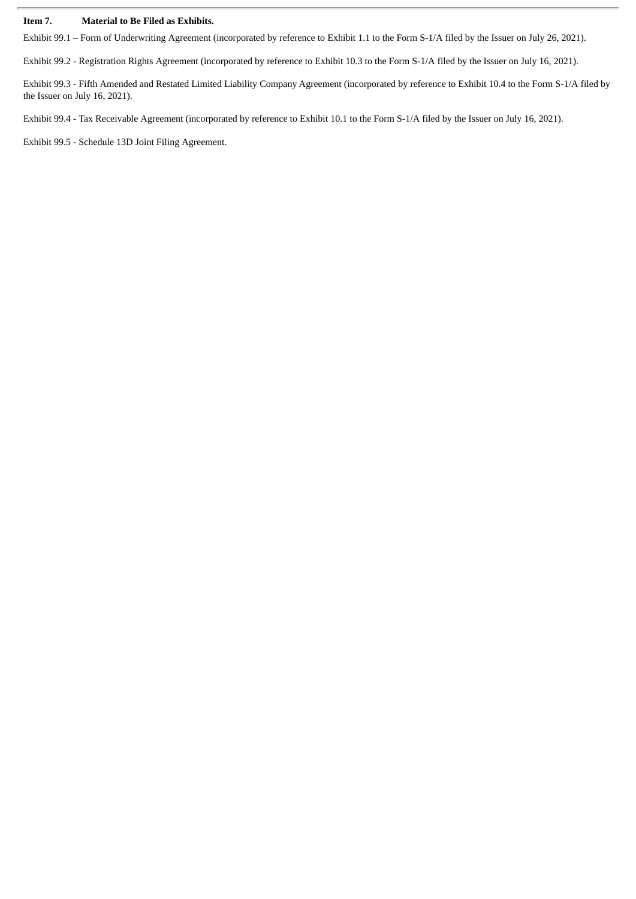#### **Item 7. Material to Be Filed as Exhibits.**

Exhibit 99.1 – Form of Underwriting Agreement (incorporated by reference to Exhibit 1.1 to the Form S-1/A filed by the Issuer on July 26, 2021).

Exhibit 99.2 - Registration Rights Agreement (incorporated by reference to Exhibit 10.3 to the Form S-1/A filed by the Issuer on July 16, 2021).

Exhibit 99.3 - Fifth Amended and Restated Limited Liability Company Agreement (incorporated by reference to Exhibit 10.4 to the Form S-1/A filed by the Issuer on July 16, 2021).

Exhibit 99.4 - Tax Receivable Agreement (incorporated by reference to Exhibit 10.1 to the Form S-1/A filed by the Issuer on July 16, 2021).

Exhibit 99.5 - Schedule 13D Joint Filing Agreement.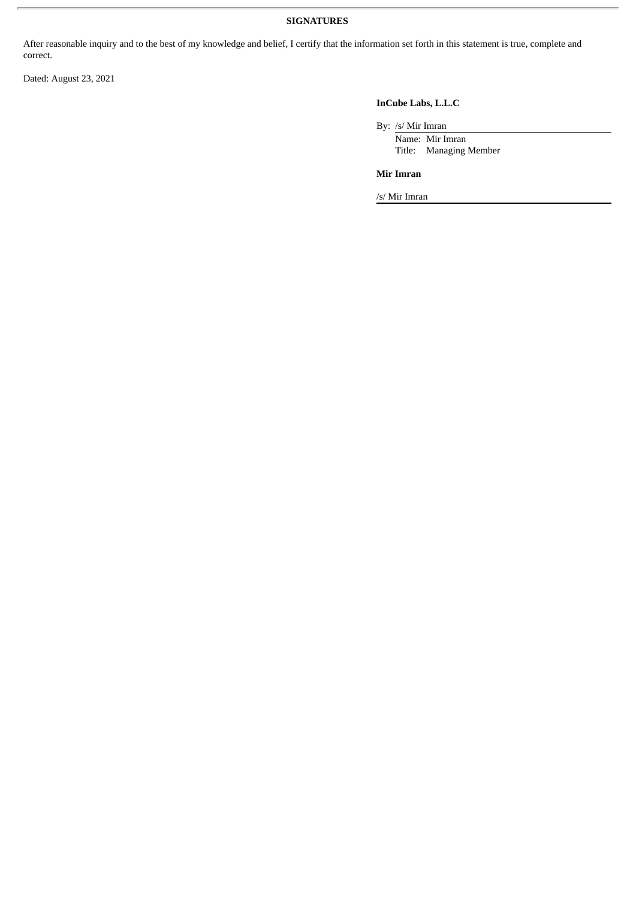## **SIGNATURES**

After reasonable inquiry and to the best of my knowledge and belief, I certify that the information set forth in this statement is true, complete and correct.

Dated: August 23, 2021

# **InCube Labs, L.L.C**

By: /s/ Mir Imran

Name: Mir Imran Title: Managing Member

**Mir Imran**

/s/ Mir Imran